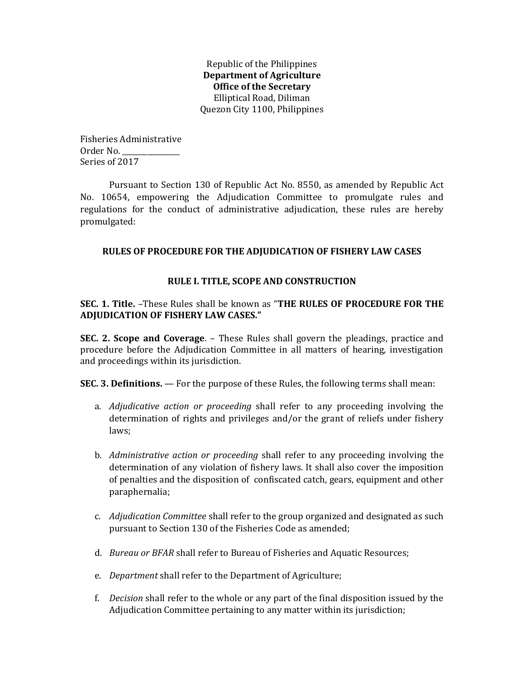Republic of the Philippines Department of Agriculture Office of the Secretary Elliptical Road, Diliman Quezon City 1100, Philippines

Fisheries Administrative Order No. \_\_\_\_\_\_\_\_\_\_\_\_\_\_\_\_ Series of 2017

Pursuant to Section 130 of Republic Act No. 8550, as amended by Republic Act No. 10654, empowering the Adjudication Committee to promulgate rules and regulations for the conduct of administrative adjudication, these rules are hereby promulgated:

# RULES OF PROCEDURE FOR THE ADJUDICATION OF FISHERY LAW CASES

# RULE I. TITLE, SCOPE AND CONSTRUCTION

# SEC. 1. Title. –These Rules shall be known as "THE RULES OF PROCEDURE FOR THE ADJUDICATION OF FISHERY LAW CASES."

SEC. 2. Scope and Coverage. – These Rules shall govern the pleadings, practice and procedure before the Adjudication Committee in all matters of hearing, investigation and proceedings within its jurisdiction.

SEC. 3. Definitions. — For the purpose of these Rules, the following terms shall mean:

- a. Adjudicative action or proceeding shall refer to any proceeding involving the determination of rights and privileges and/or the grant of reliefs under fishery laws;
- b. Administrative action or proceeding shall refer to any proceeding involving the determination of any violation of fishery laws. It shall also cover the imposition of penalties and the disposition of confiscated catch, gears, equipment and other paraphernalia;
- c. Adjudication Committee shall refer to the group organized and designated as such pursuant to Section 130 of the Fisheries Code as amended;
- d. Bureau or BFAR shall refer to Bureau of Fisheries and Aquatic Resources;
- e. Department shall refer to the Department of Agriculture;
- f. Decision shall refer to the whole or any part of the final disposition issued by the Adjudication Committee pertaining to any matter within its jurisdiction;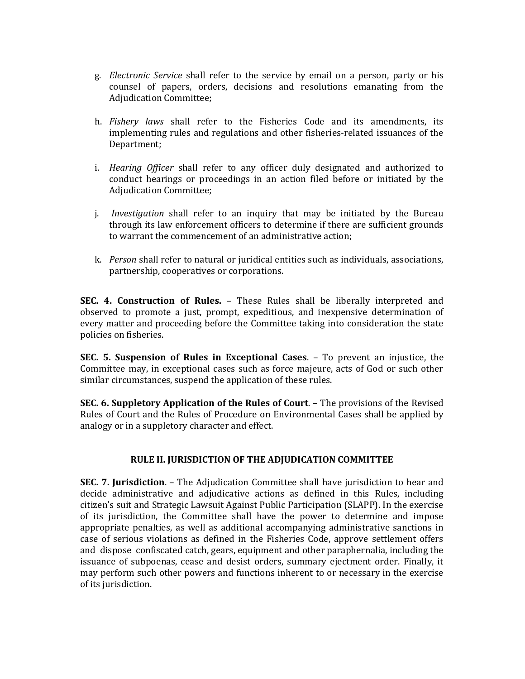- g. Electronic Service shall refer to the service by email on a person, party or his counsel of papers, orders, decisions and resolutions emanating from the Adjudication Committee;
- h. *Fishery laws* shall refer to the Fisheries Code and its amendments, its implementing rules and regulations and other fisheries-related issuances of the Department;
- i. Hearing Officer shall refer to any officer duly designated and authorized to conduct hearings or proceedings in an action filed before or initiated by the Adjudication Committee;
- j. Investigation shall refer to an inquiry that may be initiated by the Bureau through its law enforcement officers to determine if there are sufficient grounds to warrant the commencement of an administrative action;
- k. Person shall refer to natural or juridical entities such as individuals, associations, partnership, cooperatives or corporations.

SEC. 4. Construction of Rules. – These Rules shall be liberally interpreted and observed to promote a just, prompt, expeditious, and inexpensive determination of every matter and proceeding before the Committee taking into consideration the state policies on fisheries.

SEC. 5. Suspension of Rules in Exceptional Cases. – To prevent an injustice, the Committee may, in exceptional cases such as force majeure, acts of God or such other similar circumstances, suspend the application of these rules.

SEC. 6. Suppletory Application of the Rules of Court. – The provisions of the Revised Rules of Court and the Rules of Procedure on Environmental Cases shall be applied by analogy or in a suppletory character and effect.

# RULE II. JURISDICTION OF THE ADJUDICATION COMMITTEE

SEC. 7. Jurisdiction. – The Adjudication Committee shall have jurisdiction to hear and decide administrative and adjudicative actions as defined in this Rules, including citizen's suit and Strategic Lawsuit Against Public Participation (SLAPP). In the exercise of its jurisdiction, the Committee shall have the power to determine and impose appropriate penalties, as well as additional accompanying administrative sanctions in case of serious violations as defined in the Fisheries Code, approve settlement offers and dispose confiscated catch, gears, equipment and other paraphernalia, including the issuance of subpoenas, cease and desist orders, summary ejectment order. Finally, it may perform such other powers and functions inherent to or necessary in the exercise of its jurisdiction.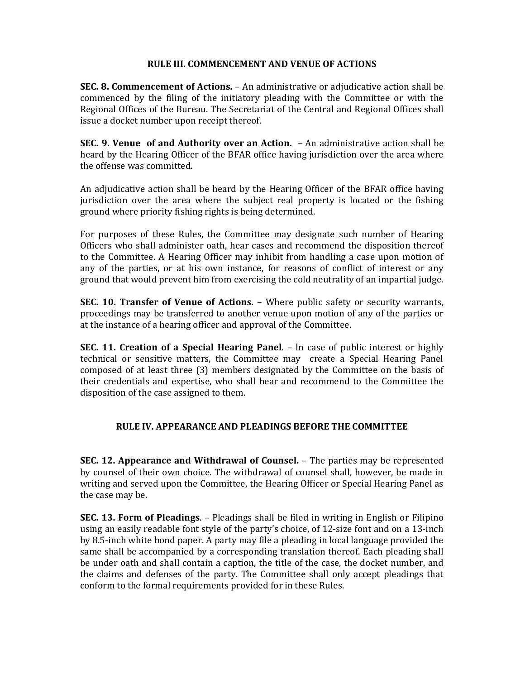### RULE III. COMMENCEMENT AND VENUE OF ACTIONS

SEC. 8. Commencement of Actions. – An administrative or adjudicative action shall be commenced by the filing of the initiatory pleading with the Committee or with the Regional Offices of the Bureau. The Secretariat of the Central and Regional Offices shall issue a docket number upon receipt thereof.

SEC. 9. Venue of and Authority over an Action. – An administrative action shall be heard by the Hearing Officer of the BFAR office having jurisdiction over the area where the offense was committed.

An adjudicative action shall be heard by the Hearing Officer of the BFAR office having jurisdiction over the area where the subject real property is located or the fishing ground where priority fishing rights is being determined.

For purposes of these Rules, the Committee may designate such number of Hearing Officers who shall administer oath, hear cases and recommend the disposition thereof to the Committee. A Hearing Officer may inhibit from handling a case upon motion of any of the parties, or at his own instance, for reasons of conflict of interest or any ground that would prevent him from exercising the cold neutrality of an impartial judge.

SEC. 10. Transfer of Venue of Actions. - Where public safety or security warrants, proceedings may be transferred to another venue upon motion of any of the parties or at the instance of a hearing officer and approval of the Committee.

SEC. 11. Creation of a Special Hearing Panel. – ln case of public interest or highly technical or sensitive matters, the Committee may create a Special Hearing Panel composed of at least three (3) members designated by the Committee on the basis of their credentials and expertise, who shall hear and recommend to the Committee the disposition of the case assigned to them.

# RULE IV. APPEARANCE AND PLEADINGS BEFORE THE COMMITTEE

SEC. 12. Appearance and Withdrawal of Counsel. – The parties may be represented by counsel of their own choice. The withdrawal of counsel shall, however, be made in writing and served upon the Committee, the Hearing Officer or Special Hearing Panel as the case may be.

SEC. 13. Form of Pleadings. – Pleadings shall be filed in writing in English or Filipino using an easily readable font style of the party's choice, of 12-size font and on a 13-inch by 8.5-inch white bond paper. A party may file a pleading in local language provided the same shall be accompanied by a corresponding translation thereof. Each pleading shall be under oath and shall contain a caption, the title of the case, the docket number, and the claims and defenses of the party. The Committee shall only accept pleadings that conform to the formal requirements provided for in these Rules.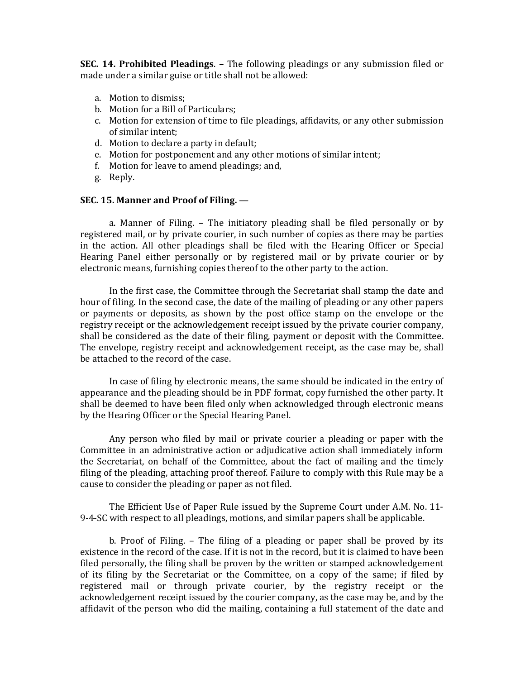SEC. 14. Prohibited Pleadings. – The following pleadings or any submission filed or made under a similar guise or title shall not be allowed:

- a. Motion to dismiss;
- b. Motion for a Bill of Particulars;
- c. Motion for extension of time to file pleadings, affidavits, or any other submission of similar intent;
- d. Motion to declare a party in default;
- e. Motion for postponement and any other motions of similar intent;
- f. Motion for leave to amend pleadings; and,
- g. Reply.

#### SEC. 15. Manner and Proof of Filing. —

a. Manner of Filing. – The initiatory pleading shall be filed personally or by registered mail, or by private courier, in such number of copies as there may be parties in the action. All other pleadings shall be filed with the Hearing Officer or Special Hearing Panel either personally or by registered mail or by private courier or by electronic means, furnishing copies thereof to the other party to the action.

In the first case, the Committee through the Secretariat shall stamp the date and hour of filing. In the second case, the date of the mailing of pleading or any other papers or payments or deposits, as shown by the post office stamp on the envelope or the registry receipt or the acknowledgement receipt issued by the private courier company, shall be considered as the date of their filing, payment or deposit with the Committee. The envelope, registry receipt and acknowledgement receipt, as the case may be, shall be attached to the record of the case.

In case of filing by electronic means, the same should be indicated in the entry of appearance and the pleading should be in PDF format, copy furnished the other party. It shall be deemed to have been filed only when acknowledged through electronic means by the Hearing Officer or the Special Hearing Panel.

Any person who filed by mail or private courier a pleading or paper with the Committee in an administrative action or adjudicative action shall immediately inform the Secretariat, on behalf of the Committee, about the fact of mailing and the timely filing of the pleading, attaching proof thereof. Failure to comply with this Rule may be a cause to consider the pleading or paper as not filed.

 The Efficient Use of Paper Rule issued by the Supreme Court under A.M. No. 11- 9-4-SC with respect to all pleadings, motions, and similar papers shall be applicable.

b. Proof of Filing. – The filing of a pleading or paper shall be proved by its existence in the record of the case. If it is not in the record, but it is claimed to have been filed personally, the filing shall be proven by the written or stamped acknowledgement of its filing by the Secretariat or the Committee, on a copy of the same; if filed by registered mail or through private courier, by the registry receipt or the acknowledgement receipt issued by the courier company, as the case may be, and by the affidavit of the person who did the mailing, containing a full statement of the date and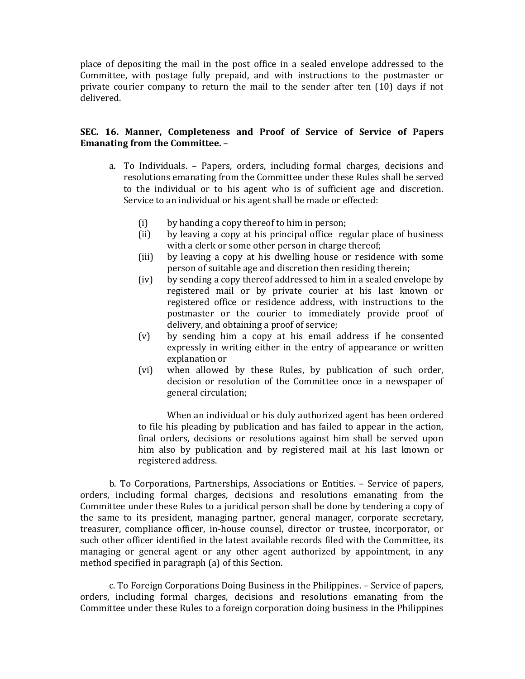place of depositing the mail in the post office in a sealed envelope addressed to the Committee, with postage fully prepaid, and with instructions to the postmaster or private courier company to return the mail to the sender after ten (10) days if not delivered.

# SEC. 16. Manner, Completeness and Proof of Service of Service of Papers Emanating from the Committee. –

- a. To Individuals. Papers, orders, including formal charges, decisions and resolutions emanating from the Committee under these Rules shall be served to the individual or to his agent who is of sufficient age and discretion. Service to an individual or his agent shall be made or effected:
	- (i) by handing a copy thereof to him in person;
	- (ii) by leaving a copy at his principal office regular place of business with a clerk or some other person in charge thereof;
	- (iii) by leaving a copy at his dwelling house or residence with some person of suitable age and discretion then residing therein;
	- (iv) by sending a copy thereof addressed to him in a sealed envelope by registered mail or by private courier at his last known or registered office or residence address, with instructions to the postmaster or the courier to immediately provide proof of delivery, and obtaining a proof of service;
	- (v) by sending him a copy at his email address if he consented expressly in writing either in the entry of appearance or written explanation or
	- (vi) when allowed by these Rules, by publication of such order, decision or resolution of the Committee once in a newspaper of general circulation;

When an individual or his duly authorized agent has been ordered to file his pleading by publication and has failed to appear in the action, final orders, decisions or resolutions against him shall be served upon him also by publication and by registered mail at his last known or registered address.

 b. To Corporations, Partnerships, Associations or Entities. – Service of papers, orders, including formal charges, decisions and resolutions emanating from the Committee under these Rules to a juridical person shall be done by tendering a copy of the same to its president, managing partner, general manager, corporate secretary, treasurer, compliance officer, in-house counsel, director or trustee, incorporator, or such other officer identified in the latest available records filed with the Committee, its managing or general agent or any other agent authorized by appointment, in any method specified in paragraph (a) of this Section.

 c. To Foreign Corporations Doing Business in the Philippines. – Service of papers, orders, including formal charges, decisions and resolutions emanating from the Committee under these Rules to a foreign corporation doing business in the Philippines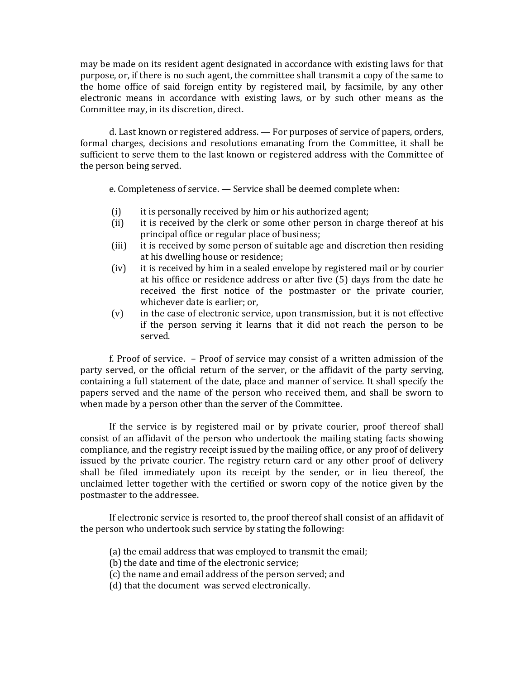may be made on its resident agent designated in accordance with existing laws for that purpose, or, if there is no such agent, the committee shall transmit a copy of the same to the home office of said foreign entity by registered mail, by facsimile, by any other electronic means in accordance with existing laws, or by such other means as the Committee may, in its discretion, direct.

 d. Last known or registered address. — For purposes of service of papers, orders, formal charges, decisions and resolutions emanating from the Committee, it shall be sufficient to serve them to the last known or registered address with the Committee of the person being served.

e. Completeness of service. — Service shall be deemed complete when:

- (i) it is personally received by him or his authorized agent;
- (ii) it is received by the clerk or some other person in charge thereof at his principal office or regular place of business;
- (iii) it is received by some person of suitable age and discretion then residing at his dwelling house or residence;
- (iv) it is received by him in a sealed envelope by registered mail or by courier at his office or residence address or after five (5) days from the date he received the first notice of the postmaster or the private courier, whichever date is earlier; or,
- (v) in the case of electronic service, upon transmission, but it is not effective if the person serving it learns that it did not reach the person to be served.

 f. Proof of service. – Proof of service may consist of a written admission of the party served, or the official return of the server, or the affidavit of the party serving, containing a full statement of the date, place and manner of service. It shall specify the papers served and the name of the person who received them, and shall be sworn to when made by a person other than the server of the Committee.

If the service is by registered mail or by private courier, proof thereof shall consist of an affidavit of the person who undertook the mailing stating facts showing compliance, and the registry receipt issued by the mailing office, or any proof of delivery issued by the private courier. The registry return card or any other proof of delivery shall be filed immediately upon its receipt by the sender, or in lieu thereof, the unclaimed letter together with the certified or sworn copy of the notice given by the postmaster to the addressee.

If electronic service is resorted to, the proof thereof shall consist of an affidavit of the person who undertook such service by stating the following:

- (a) the email address that was employed to transmit the email;
- (b) the date and time of the electronic service;
- (c) the name and email address of the person served; and
- (d) that the document was served electronically.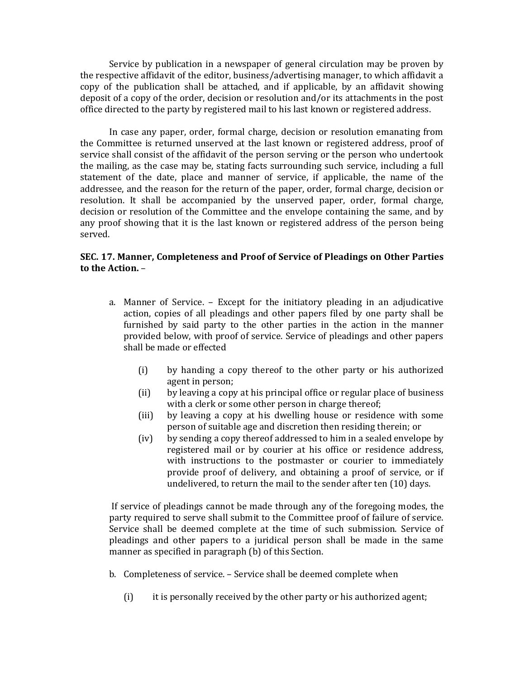Service by publication in a newspaper of general circulation may be proven by the respective affidavit of the editor, business/advertising manager, to which affidavit a copy of the publication shall be attached, and if applicable, by an affidavit showing deposit of a copy of the order, decision or resolution and/or its attachments in the post office directed to the party by registered mail to his last known or registered address.

In case any paper, order, formal charge, decision or resolution emanating from the Committee is returned unserved at the last known or registered address, proof of service shall consist of the affidavit of the person serving or the person who undertook the mailing, as the case may be, stating facts surrounding such service, including a full statement of the date, place and manner of service, if applicable, the name of the addressee, and the reason for the return of the paper, order, formal charge, decision or resolution. It shall be accompanied by the unserved paper, order, formal charge, decision or resolution of the Committee and the envelope containing the same, and by any proof showing that it is the last known or registered address of the person being served.

### SEC. 17. Manner, Completeness and Proof of Service of Pleadings on Other Parties to the Action. –

- a. Manner of Service. Except for the initiatory pleading in an adjudicative action, copies of all pleadings and other papers filed by one party shall be furnished by said party to the other parties in the action in the manner provided below, with proof of service. Service of pleadings and other papers shall be made or effected
	- (i) by handing a copy thereof to the other party or his authorized agent in person;
	- (ii) by leaving a copy at his principal office or regular place of business with a clerk or some other person in charge thereof;
	- (iii) by leaving a copy at his dwelling house or residence with some person of suitable age and discretion then residing therein; or
	- (iv) by sending a copy thereof addressed to him in a sealed envelope by registered mail or by courier at his office or residence address, with instructions to the postmaster or courier to immediately provide proof of delivery, and obtaining a proof of service, or if undelivered, to return the mail to the sender after ten (10) days.

If service of pleadings cannot be made through any of the foregoing modes, the party required to serve shall submit to the Committee proof of failure of service. Service shall be deemed complete at the time of such submission. Service of pleadings and other papers to a juridical person shall be made in the same manner as specified in paragraph (b) of this Section.

- b. Completeness of service. Service shall be deemed complete when
	- (i) it is personally received by the other party or his authorized agent;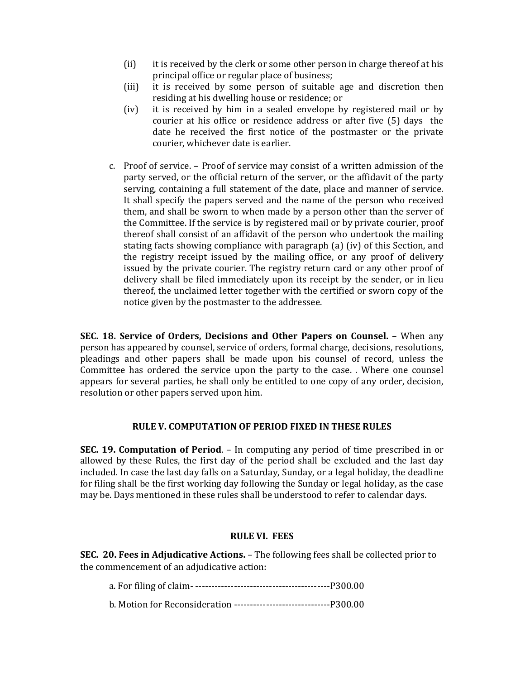- (ii) it is received by the clerk or some other person in charge thereof at his principal office or regular place of business;
- (iii) it is received by some person of suitable age and discretion then residing at his dwelling house or residence; or
- (iv) it is received by him in a sealed envelope by registered mail or by courier at his office or residence address or after five (5) days the date he received the first notice of the postmaster or the private courier, whichever date is earlier.
- c. Proof of service. Proof of service may consist of a written admission of the party served, or the official return of the server, or the affidavit of the party serving, containing a full statement of the date, place and manner of service. It shall specify the papers served and the name of the person who received them, and shall be sworn to when made by a person other than the server of the Committee. If the service is by registered mail or by private courier, proof thereof shall consist of an affidavit of the person who undertook the mailing stating facts showing compliance with paragraph (a) (iv) of this Section, and the registry receipt issued by the mailing office, or any proof of delivery issued by the private courier. The registry return card or any other proof of delivery shall be filed immediately upon its receipt by the sender, or in lieu thereof, the unclaimed letter together with the certified or sworn copy of the notice given by the postmaster to the addressee.

SEC. 18. Service of Orders, Decisions and Other Papers on Counsel. – When any person has appeared by counsel, service of orders, formal charge, decisions, resolutions, pleadings and other papers shall be made upon his counsel of record, unless the Committee has ordered the service upon the party to the case. . Where one counsel appears for several parties, he shall only be entitled to one copy of any order, decision, resolution or other papers served upon him.

# RULE V. COMPUTATION OF PERIOD FIXED IN THESE RULES

SEC. 19. Computation of Period. – In computing any period of time prescribed in or allowed by these Rules, the first day of the period shall be excluded and the last day included. In case the last day falls on a Saturday, Sunday, or a legal holiday, the deadline for filing shall be the first working day following the Sunday or legal holiday, as the case may be. Days mentioned in these rules shall be understood to refer to calendar days.

# RULE VI. FEES

SEC. 20. Fees in Adjudicative Actions. – The following fees shall be collected prior to the commencement of an adjudicative action:

a. For filing of claim- ------------------------------------------P300.00

b. Motion for Reconsideration ------------------------------P300.00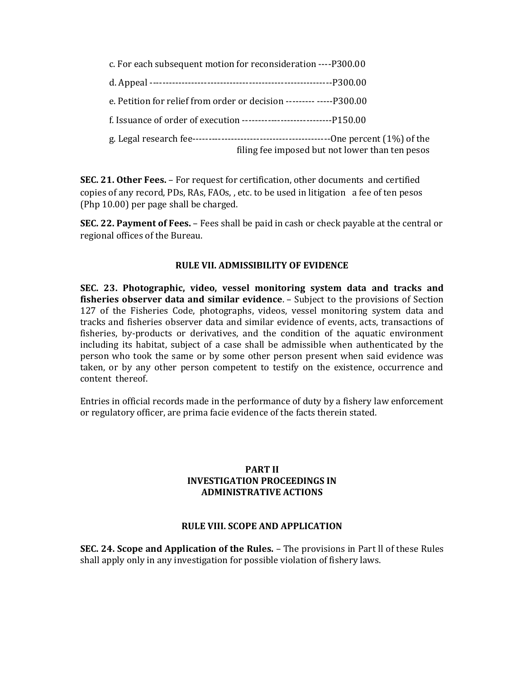| c. For each subsequent motion for reconsideration ---- P300.00       |                                                 |
|----------------------------------------------------------------------|-------------------------------------------------|
|                                                                      |                                                 |
| e. Petition for relief from order or decision --------- -----P300.00 |                                                 |
|                                                                      |                                                 |
|                                                                      | filing fee imposed but not lower than ten pesos |

SEC. 21. Other Fees. – For request for certification, other documents and certified copies of any record, PDs, RAs, FAOs, , etc. to be used in litigation a fee of ten pesos (Php 10.00) per page shall be charged.

SEC. 22. Payment of Fees. – Fees shall be paid in cash or check payable at the central or regional offices of the Bureau.

### RULE VII. ADMISSIBILITY OF EVIDENCE

SEC. 23. Photographic, video, vessel monitoring system data and tracks and fisheries observer data and similar evidence. – Subject to the provisions of Section 127 of the Fisheries Code, photographs, videos, vessel monitoring system data and tracks and fisheries observer data and similar evidence of events, acts, transactions of fisheries, by-products or derivatives, and the condition of the aquatic environment including its habitat, subject of a case shall be admissible when authenticated by the person who took the same or by some other person present when said evidence was taken, or by any other person competent to testify on the existence, occurrence and content thereof.

Entries in official records made in the performance of duty by a fishery law enforcement or regulatory officer, are prima facie evidence of the facts therein stated.

# PART II INVESTIGATION PROCEEDINGS IN ADMINISTRATIVE ACTIONS

#### RULE VIII. SCOPE AND APPLICATION

SEC. 24. Scope and Application of the Rules. – The provisions in Part ll of these Rules shall apply only in any investigation for possible violation of fishery laws.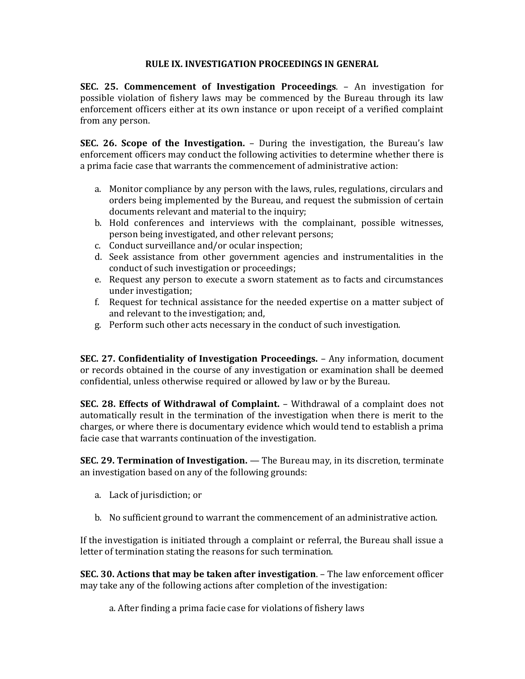# RULE IX. INVESTIGATION PROCEEDINGS IN GENERAL

SEC. 25. Commencement of Investigation Proceedings. – An investigation for possible violation of fishery laws may be commenced by the Bureau through its law enforcement officers either at its own instance or upon receipt of a verified complaint from any person.

SEC. 26. Scope of the Investigation. – During the investigation, the Bureau's law enforcement officers may conduct the following activities to determine whether there is a prima facie case that warrants the commencement of administrative action:

- a. Monitor compliance by any person with the laws, rules, regulations, circulars and orders being implemented by the Bureau, and request the submission of certain documents relevant and material to the inquiry;
- b. Hold conferences and interviews with the complainant, possible witnesses, person being investigated, and other relevant persons;
- c. Conduct surveillance and/or ocular inspection;
- d. Seek assistance from other government agencies and instrumentalities in the conduct of such investigation or proceedings;
- e. Request any person to execute a sworn statement as to facts and circumstances under investigation;
- f. Request for technical assistance for the needed expertise on a matter subject of and relevant to the investigation; and,
- g. Perform such other acts necessary in the conduct of such investigation.

SEC. 27. Confidentiality of Investigation Proceedings. – Any information, document or records obtained in the course of any investigation or examination shall be deemed confidential, unless otherwise required or allowed by law or by the Bureau.

SEC. 28. Effects of Withdrawal of Complaint. – Withdrawal of a complaint does not automatically result in the termination of the investigation when there is merit to the charges, or where there is documentary evidence which would tend to establish a prima facie case that warrants continuation of the investigation.

SEC. 29. Termination of Investigation. — The Bureau may, in its discretion, terminate an investigation based on any of the following grounds:

- a. Lack of jurisdiction; or
- b. No sufficient ground to warrant the commencement of an administrative action.

If the investigation is initiated through a complaint or referral, the Bureau shall issue a letter of termination stating the reasons for such termination.

SEC. 30. Actions that may be taken after investigation. – The law enforcement officer may take any of the following actions after completion of the investigation:

a. After finding a prima facie case for violations of fishery laws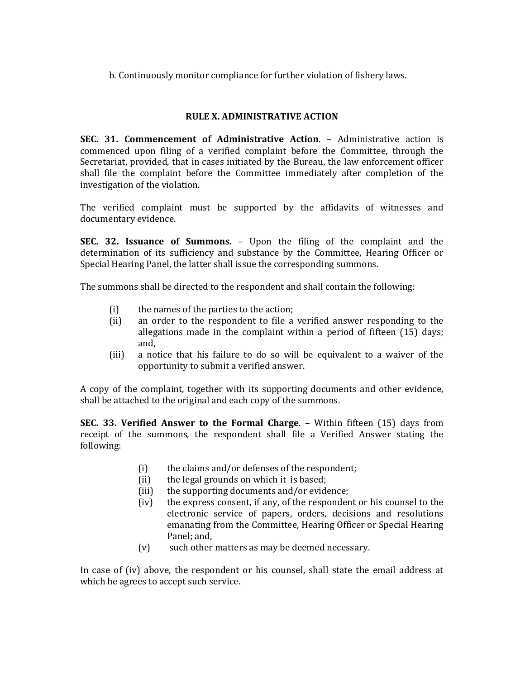b. Continuously monitor compliance for further violation of fishery laws.

# RULE X. ADMINISTRATIVE ACTION

SEC. 31. Commencement of Administrative Action. – Administrative action is commenced upon filing of a verified complaint before the Committee, through the Secretariat, provided, that in cases initiated by the Bureau, the law enforcement officer shall file the complaint before the Committee immediately after completion of the investigation of the violation.

The verified complaint must be supported by the affidavits of witnesses and documentary evidence.

SEC. 32. Issuance of Summons. – Upon the filing of the complaint and the determination of its sufficiency and substance by the Committee, Hearing Officer or Special Hearing Panel, the latter shall issue the corresponding summons.

The summons shall be directed to the respondent and shall contain the following:

- (i) the names of the parties to the action;
- (ii) an order to the respondent to file a verified answer responding to the allegations made in the complaint within a period of fifteen (15) days; and,
- (iii) a notice that his failure to do so will be equivalent to a waiver of the opportunity to submit a verified answer.

A copy of the complaint, together with its supporting documents and other evidence, shall be attached to the original and each copy of the summons.

SEC. 33. Verified Answer to the Formal Charge. – Within fifteen (15) days from receipt of the summons, the respondent shall file a Verified Answer stating the following:

- (i) the claims and/or defenses of the respondent;
- (ii) the legal grounds on which it is based;
- (iii) the supporting documents and/or evidence;
- (iv) the express consent, if any, of the respondent or his counsel to the electronic service of papers, orders, decisions and resolutions emanating from the Committee, Hearing Officer or Special Hearing Panel; and,
- (v) such other matters as may be deemed necessary.

In case of (iv) above, the respondent or his counsel, shall state the email address at which he agrees to accept such service.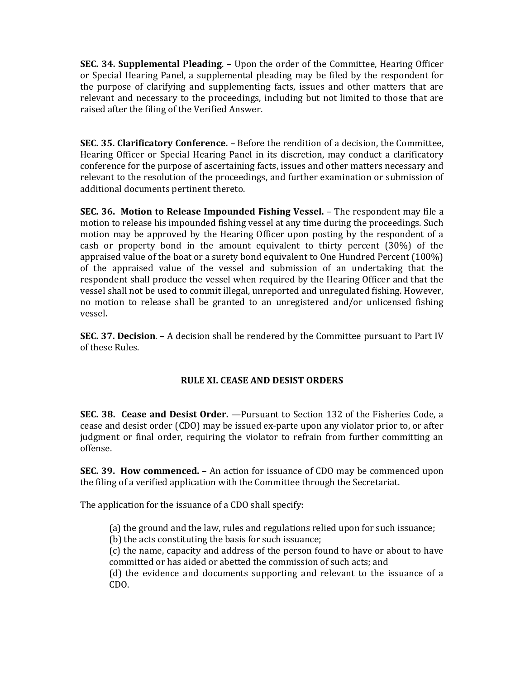SEC. 34. Supplemental Pleading. – Upon the order of the Committee, Hearing Officer or Special Hearing Panel, a supplemental pleading may be filed by the respondent for the purpose of clarifying and supplementing facts, issues and other matters that are relevant and necessary to the proceedings, including but not limited to those that are raised after the filing of the Verified Answer.

SEC. 35. Clarificatory Conference. – Before the rendition of a decision, the Committee, Hearing Officer or Special Hearing Panel in its discretion, may conduct a clarificatory conference for the purpose of ascertaining facts, issues and other matters necessary and relevant to the resolution of the proceedings, and further examination or submission of additional documents pertinent thereto.

SEC. 36. Motion to Release Impounded Fishing Vessel. – The respondent may file a motion to release his impounded fishing vessel at any time during the proceedings. Such motion may be approved by the Hearing Officer upon posting by the respondent of a cash or property bond in the amount equivalent to thirty percent (30%) of the appraised value of the boat or a surety bond equivalent to One Hundred Percent (100%) of the appraised value of the vessel and submission of an undertaking that the respondent shall produce the vessel when required by the Hearing Officer and that the vessel shall not be used to commit illegal, unreported and unregulated fishing. However, no motion to release shall be granted to an unregistered and/or unlicensed fishing vessel.

SEC. 37. Decision. – A decision shall be rendered by the Committee pursuant to Part IV of these Rules.

# RULE XI. CEASE AND DESIST ORDERS

SEC. 38. Cease and Desist Order. —Pursuant to Section 132 of the Fisheries Code, a cease and desist order (CDO) may be issued ex-parte upon any violator prior to, or after judgment or final order, requiring the violator to refrain from further committing an offense.

SEC. 39. How commenced. – An action for issuance of CDO may be commenced upon the filing of a verified application with the Committee through the Secretariat.

The application for the issuance of a CDO shall specify:

(a) the ground and the law, rules and regulations relied upon for such issuance;

(b) the acts constituting the basis for such issuance;

(c) the name, capacity and address of the person found to have or about to have committed or has aided or abetted the commission of such acts; and

(d) the evidence and documents supporting and relevant to the issuance of a CDO.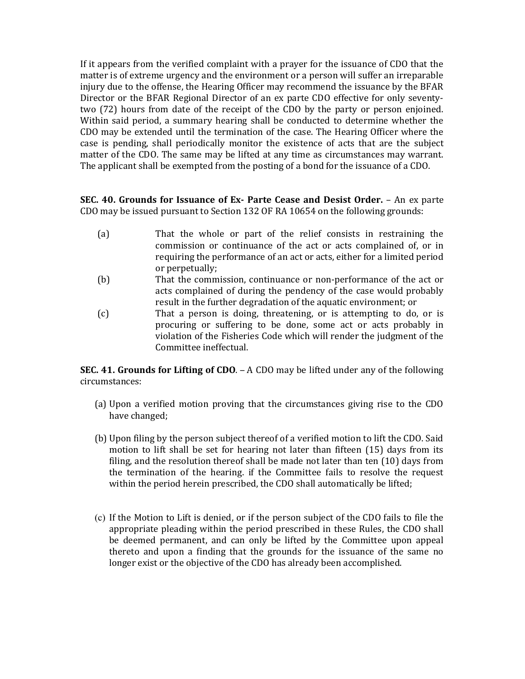If it appears from the verified complaint with a prayer for the issuance of CDO that the matter is of extreme urgency and the environment or a person will suffer an irreparable injury due to the offense, the Hearing Officer may recommend the issuance by the BFAR Director or the BFAR Regional Director of an ex parte CDO effective for only seventytwo (72) hours from date of the receipt of the CDO by the party or person enjoined. Within said period, a summary hearing shall be conducted to determine whether the CDO may be extended until the termination of the case. The Hearing Officer where the case is pending, shall periodically monitor the existence of acts that are the subject matter of the CDO. The same may be lifted at any time as circumstances may warrant. The applicant shall be exempted from the posting of a bond for the issuance of a CDO.

SEC. 40. Grounds for Issuance of Ex- Parte Cease and Desist Order. – An ex parte CDO may be issued pursuant to Section 132 OF RA 10654 on the following grounds:

- (a) That the whole or part of the relief consists in restraining the commission or continuance of the act or acts complained of, or in requiring the performance of an act or acts, either for a limited period or perpetually;
- (b) That the commission, continuance or non-performance of the act or acts complained of during the pendency of the case would probably result in the further degradation of the aquatic environment; or
- (c) That a person is doing, threatening, or is attempting to do, or is procuring or suffering to be done, some act or acts probably in violation of the Fisheries Code which will render the judgment of the Committee ineffectual.

SEC. 41. Grounds for Lifting of CDO. – A CDO may be lifted under any of the following circumstances:

- (a) Upon a verified motion proving that the circumstances giving rise to the CDO have changed;
- (b) Upon filing by the person subject thereof of a verified motion to lift the CDO. Said motion to lift shall be set for hearing not later than fifteen (15) days from its filing, and the resolution thereof shall be made not later than ten (10) days from the termination of the hearing. if the Committee fails to resolve the request within the period herein prescribed, the CDO shall automatically be lifted;
- (c) If the Motion to Lift is denied, or if the person subject of the CDO fails to file the appropriate pleading within the period prescribed in these Rules, the CDO shall be deemed permanent, and can only be lifted by the Committee upon appeal thereto and upon a finding that the grounds for the issuance of the same no longer exist or the objective of the CDO has already been accomplished.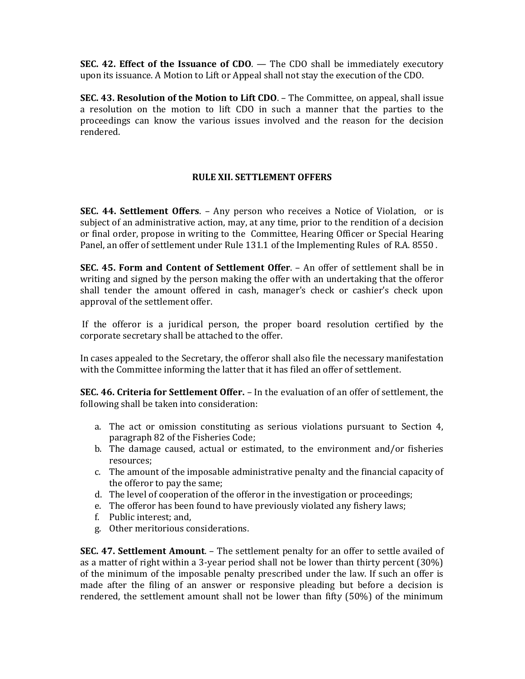**SEC. 42. Effect of the Issuance of CDO.**  $-$  The CDO shall be immediately executory upon its issuance. A Motion to Lift or Appeal shall not stay the execution of the CDO.

SEC. 43. Resolution of the Motion to Lift CDO. – The Committee, on appeal, shall issue a resolution on the motion to lift CDO in such a manner that the parties to the proceedings can know the various issues involved and the reason for the decision rendered.

# RULE XII. SETTLEMENT OFFERS

SEC. 44. Settlement Offers. – Any person who receives a Notice of Violation, or is subject of an administrative action, may, at any time, prior to the rendition of a decision or final order, propose in writing to the Committee, Hearing Officer or Special Hearing Panel, an offer of settlement under Rule 131.1 of the Implementing Rules of R.A. 8550 .

SEC. 45. Form and Content of Settlement Offer. – An offer of settlement shall be in writing and signed by the person making the offer with an undertaking that the offeror shall tender the amount offered in cash, manager's check or cashier's check upon approval of the settlement offer.

 If the offeror is a juridical person, the proper board resolution certified by the corporate secretary shall be attached to the offer.

In cases appealed to the Secretary, the offeror shall also file the necessary manifestation with the Committee informing the latter that it has filed an offer of settlement.

SEC. 46. Criteria for Settlement Offer. – In the evaluation of an offer of settlement, the following shall be taken into consideration:

- a. The act or omission constituting as serious violations pursuant to Section 4, paragraph 82 of the Fisheries Code;
- b. The damage caused, actual or estimated, to the environment and/or fisheries resources;
- c. The amount of the imposable administrative penalty and the financial capacity of the offeror to pay the same;
- d. The level of cooperation of the offeror in the investigation or proceedings;
- e. The offeror has been found to have previously violated any fishery laws;
- f. Public interest; and,
- g. Other meritorious considerations.

SEC. 47. Settlement Amount. – The settlement penalty for an offer to settle availed of as a matter of right within a 3-year period shall not be lower than thirty percent (30%) of the minimum of the imposable penalty prescribed under the law. If such an offer is made after the filing of an answer or responsive pleading but before a decision is rendered, the settlement amount shall not be lower than fifty (50%) of the minimum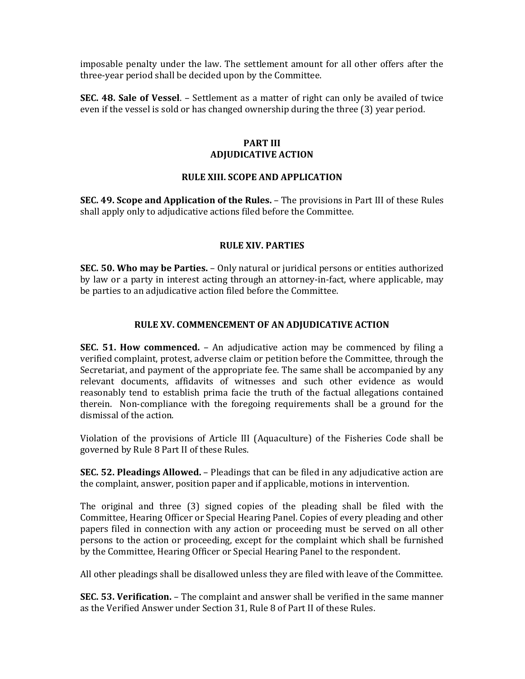imposable penalty under the law. The settlement amount for all other offers after the three-year period shall be decided upon by the Committee.

SEC. 48. Sale of Vessel. – Settlement as a matter of right can only be availed of twice even if the vessel is sold or has changed ownership during the three (3) year period.

# PART III ADJUDICATIVE ACTION

# RULE XIII. SCOPE AND APPLICATION

SEC. 49. Scope and Application of the Rules. – The provisions in Part III of these Rules shall apply only to adjudicative actions filed before the Committee.

# RULE XIV. PARTIES

SEC. 50. Who may be Parties. – Only natural or juridical persons or entities authorized by law or a party in interest acting through an attorney-in-fact, where applicable, may be parties to an adjudicative action filed before the Committee.

### RULE XV. COMMENCEMENT OF AN ADJUDICATIVE ACTION

SEC. 51. How commenced. – An adjudicative action may be commenced by filing a verified complaint, protest, adverse claim or petition before the Committee, through the Secretariat, and payment of the appropriate fee. The same shall be accompanied by any relevant documents, affidavits of witnesses and such other evidence as would reasonably tend to establish prima facie the truth of the factual allegations contained therein. Non-compliance with the foregoing requirements shall be a ground for the dismissal of the action.

Violation of the provisions of Article III (Aquaculture) of the Fisheries Code shall be governed by Rule 8 Part II of these Rules.

SEC. 52. Pleadings Allowed. – Pleadings that can be filed in any adjudicative action are the complaint, answer, position paper and if applicable, motions in intervention.

The original and three (3) signed copies of the pleading shall be filed with the Committee, Hearing Officer or Special Hearing Panel. Copies of every pleading and other papers filed in connection with any action or proceeding must be served on all other persons to the action or proceeding, except for the complaint which shall be furnished by the Committee, Hearing Officer or Special Hearing Panel to the respondent.

All other pleadings shall be disallowed unless they are filed with leave of the Committee.

SEC. 53. Verification. – The complaint and answer shall be verified in the same manner as the Verified Answer under Section 31, Rule 8 of Part II of these Rules.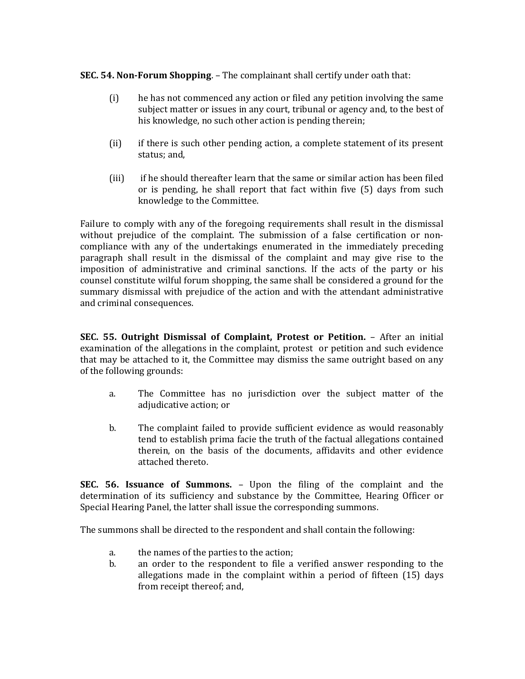# SEC. 54. Non-Forum Shopping. – The complainant shall certify under oath that:

- (i) he has not commenced any action or filed any petition involving the same subject matter or issues in any court, tribunal or agency and, to the best of his knowledge, no such other action is pending therein;
- (ii) if there is such other pending action, a complete statement of its present status; and,
- (iii) if he should thereafter learn that the same or similar action has been filed or is pending, he shall report that fact within five (5) days from such knowledge to the Committee.

Failure to comply with any of the foregoing requirements shall result in the dismissal without prejudice of the complaint. The submission of a false certification or noncompliance with any of the undertakings enumerated in the immediately preceding paragraph shall result in the dismissal of the complaint and may give rise to the imposition of administrative and criminal sanctions. lf the acts of the party or his counsel constitute wilful forum shopping, the same shall be considered a ground for the summary dismissal with prejudice of the action and with the attendant administrative and criminal consequences.

SEC. 55. Outright Dismissal of Complaint, Protest or Petition. – After an initial examination of the allegations in the complaint, protest or petition and such evidence that may be attached to it, the Committee may dismiss the same outright based on any of the following grounds:

- a. The Committee has no jurisdiction over the subject matter of the adjudicative action; or
- b. The complaint failed to provide sufficient evidence as would reasonably tend to establish prima facie the truth of the factual allegations contained therein, on the basis of the documents, affidavits and other evidence attached thereto.

SEC. 56. Issuance of Summons. – Upon the filing of the complaint and the determination of its sufficiency and substance by the Committee, Hearing Officer or Special Hearing Panel, the latter shall issue the corresponding summons.

The summons shall be directed to the respondent and shall contain the following:

- a. the names of the parties to the action;
- b. an order to the respondent to file a verified answer responding to the allegations made in the complaint within a period of fifteen (15) days from receipt thereof; and,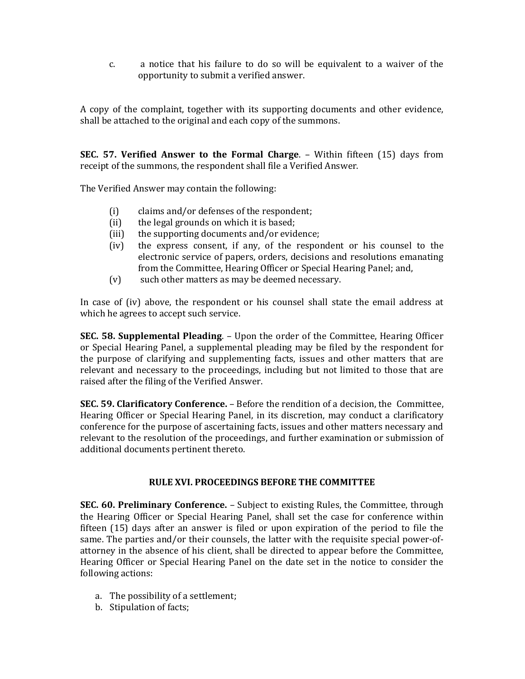c. a notice that his failure to do so will be equivalent to a waiver of the opportunity to submit a verified answer.

A copy of the complaint, together with its supporting documents and other evidence, shall be attached to the original and each copy of the summons.

SEC. 57. Verified Answer to the Formal Charge. – Within fifteen (15) days from receipt of the summons, the respondent shall file a Verified Answer.

The Verified Answer may contain the following:

- (i) claims and/or defenses of the respondent;
- (ii) the legal grounds on which it is based;
- (iii) the supporting documents and/or evidence;
- (iv) the express consent, if any, of the respondent or his counsel to the electronic service of papers, orders, decisions and resolutions emanating from the Committee, Hearing Officer or Special Hearing Panel; and,
- (v) such other matters as may be deemed necessary.

In case of (iv) above, the respondent or his counsel shall state the email address at which he agrees to accept such service.

SEC. 58. Supplemental Pleading. – Upon the order of the Committee, Hearing Officer or Special Hearing Panel, a supplemental pleading may be filed by the respondent for the purpose of clarifying and supplementing facts, issues and other matters that are relevant and necessary to the proceedings, including but not limited to those that are raised after the filing of the Verified Answer.

SEC. 59. Clarificatory Conference. – Before the rendition of a decision, the Committee, Hearing Officer or Special Hearing Panel, in its discretion, may conduct a clarificatory conference for the purpose of ascertaining facts, issues and other matters necessary and relevant to the resolution of the proceedings, and further examination or submission of additional documents pertinent thereto.

#### RULE XVI. PROCEEDINGS BEFORE THE COMMITTEE

SEC. 60. Preliminary Conference. – Subject to existing Rules, the Committee, through the Hearing Officer or Special Hearing Panel, shall set the case for conference within fifteen (15) days after an answer is filed or upon expiration of the period to file the same. The parties and/or their counsels, the latter with the requisite special power-ofattorney in the absence of his client, shall be directed to appear before the Committee, Hearing Officer or Special Hearing Panel on the date set in the notice to consider the following actions:

- a. The possibility of a settlement;
- b. Stipulation of facts;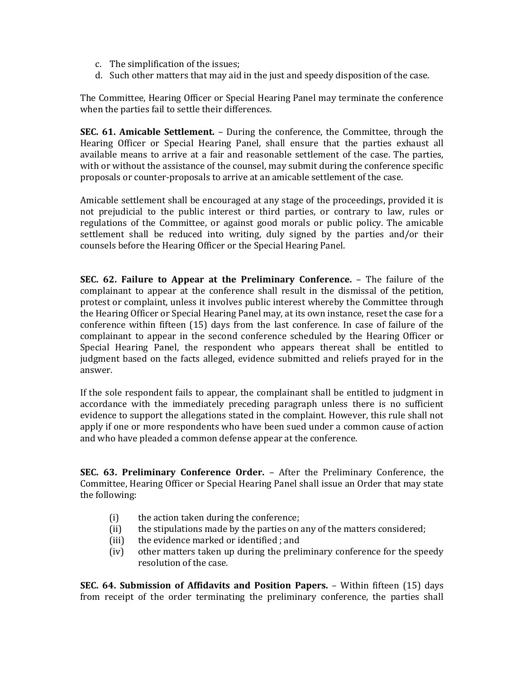- c. The simplification of the issues;
- d. Such other matters that may aid in the just and speedy disposition of the case.

The Committee, Hearing Officer or Special Hearing Panel may terminate the conference when the parties fail to settle their differences.

SEC. 61. Amicable Settlement. – During the conference, the Committee, through the Hearing Officer or Special Hearing Panel, shall ensure that the parties exhaust all available means to arrive at a fair and reasonable settlement of the case. The parties, with or without the assistance of the counsel, may submit during the conference specific proposals or counter-proposals to arrive at an amicable settlement of the case.

Amicable settlement shall be encouraged at any stage of the proceedings, provided it is not prejudicial to the public interest or third parties, or contrary to law, rules or regulations of the Committee, or against good morals or public policy. The amicable settlement shall be reduced into writing, duly signed by the parties and/or their counsels before the Hearing Officer or the Special Hearing Panel.

SEC. 62. Failure to Appear at the Preliminary Conference. – The failure of the complainant to appear at the conference shall result in the dismissal of the petition, protest or complaint, unless it involves public interest whereby the Committee through the Hearing Officer or Special Hearing Panel may, at its own instance, reset the case for a conference within fifteen (15) days from the last conference. In case of failure of the complainant to appear in the second conference scheduled by the Hearing Officer or Special Hearing Panel, the respondent who appears thereat shall be entitled to judgment based on the facts alleged, evidence submitted and reliefs prayed for in the answer.

If the sole respondent fails to appear, the complainant shall be entitled to judgment in accordance with the immediately preceding paragraph unless there is no sufficient evidence to support the allegations stated in the complaint. However, this rule shall not apply if one or more respondents who have been sued under a common cause of action and who have pleaded a common defense appear at the conference.

SEC. 63. Preliminary Conference Order. – After the Preliminary Conference, the Committee, Hearing Officer or Special Hearing Panel shall issue an Order that may state the following:

- (i) the action taken during the conference;
- (ii) the stipulations made by the parties on any of the matters considered;
- (iii) the evidence marked or identified ; and
- (iv) other matters taken up during the preliminary conference for the speedy resolution of the case.

SEC. 64. Submission of Affidavits and Position Papers. – Within fifteen (15) days from receipt of the order terminating the preliminary conference, the parties shall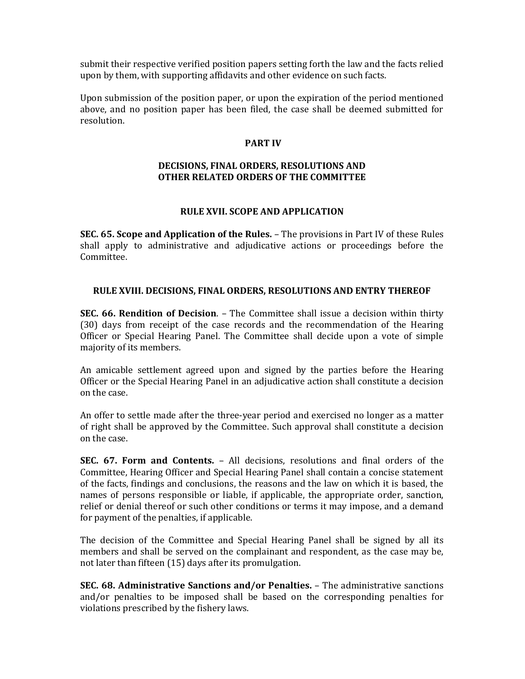submit their respective verified position papers setting forth the law and the facts relied upon by them, with supporting affidavits and other evidence on such facts.

Upon submission of the position paper, or upon the expiration of the period mentioned above, and no position paper has been filed, the case shall be deemed submitted for resolution.

## PART IV

## DECISIONS, FINAL ORDERS, RESOLUTIONS AND OTHER RELATED ORDERS OF THE COMMITTEE

### RULE XVII. SCOPE AND APPLICATION

SEC. 65. Scope and Application of the Rules. – The provisions in Part IV of these Rules shall apply to administrative and adjudicative actions or proceedings before the Committee.

### RULE XVIII. DECISIONS, FINAL ORDERS, RESOLUTIONS AND ENTRY THEREOF

SEC. 66. Rendition of Decision. – The Committee shall issue a decision within thirty (30) days from receipt of the case records and the recommendation of the Hearing Officer or Special Hearing Panel. The Committee shall decide upon a vote of simple majority of its members.

An amicable settlement agreed upon and signed by the parties before the Hearing Officer or the Special Hearing Panel in an adjudicative action shall constitute a decision on the case.

An offer to settle made after the three-year period and exercised no longer as a matter of right shall be approved by the Committee. Such approval shall constitute a decision on the case.

SEC. 67. Form and Contents. – All decisions, resolutions and final orders of the Committee, Hearing Officer and Special Hearing Panel shall contain a concise statement of the facts, findings and conclusions, the reasons and the law on which it is based, the names of persons responsible or liable, if applicable, the appropriate order, sanction, relief or denial thereof or such other conditions or terms it may impose, and a demand for payment of the penalties, if applicable.

The decision of the Committee and Special Hearing Panel shall be signed by all its members and shall be served on the complainant and respondent, as the case may be, not later than fifteen (15) days after its promulgation.

SEC. 68. Administrative Sanctions and/or Penalties. – The administrative sanctions and/or penalties to be imposed shall be based on the corresponding penalties for violations prescribed by the fishery laws.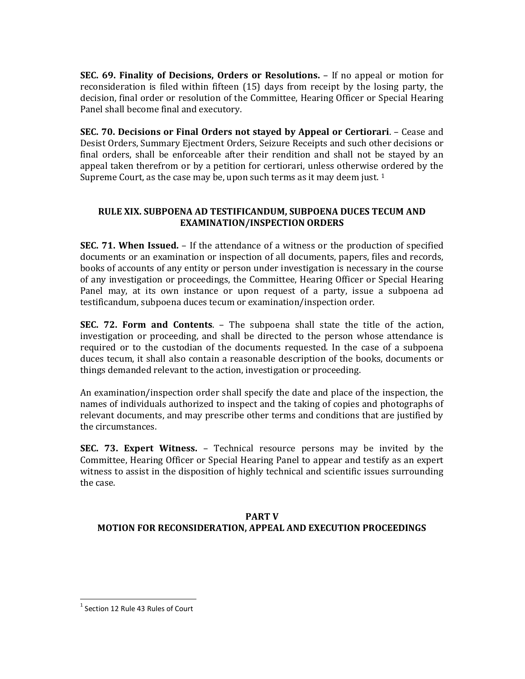SEC. 69. Finality of Decisions, Orders or Resolutions. – If no appeal or motion for reconsideration is filed within fifteen (15) days from receipt by the losing party, the decision, final order or resolution of the Committee, Hearing Officer or Special Hearing Panel shall become final and executory.

SEC. 70. Decisions or Final Orders not stayed by Appeal or Certiorari. – Cease and Desist Orders, Summary Ejectment Orders, Seizure Receipts and such other decisions or final orders, shall be enforceable after their rendition and shall not be stayed by an appeal taken therefrom or by a petition for certiorari, unless otherwise ordered by the Supreme Court, as the case may be, upon such terms as it may deem just.  $1$ 

# RULE XIX. SUBPOENA AD TESTIFICANDUM, SUBPOENA DUCES TECUM AND EXAMINATION/INSPECTION ORDERS

**SEC. 71. When Issued.** – If the attendance of a witness or the production of specified documents or an examination or inspection of all documents, papers, files and records, books of accounts of any entity or person under investigation is necessary in the course of any investigation or proceedings, the Committee, Hearing Officer or Special Hearing Panel may, at its own instance or upon request of a party, issue a subpoena ad testificandum, subpoena duces tecum or examination/inspection order.

SEC. 72. Form and Contents. – The subpoena shall state the title of the action, investigation or proceeding, and shall be directed to the person whose attendance is required or to the custodian of the documents requested. In the case of a subpoena duces tecum, it shall also contain a reasonable description of the books, documents or things demanded relevant to the action, investigation or proceeding.

An examination/inspection order shall specify the date and place of the inspection, the names of individuals authorized to inspect and the taking of copies and photographs of relevant documents, and may prescribe other terms and conditions that are justified by the circumstances.

SEC. 73. Expert Witness. – Technical resource persons may be invited by the Committee, Hearing Officer or Special Hearing Panel to appear and testify as an expert witness to assist in the disposition of highly technical and scientific issues surrounding the case.

# PART V MOTION FOR RECONSIDERATION, APPEAL AND EXECUTION PROCEEDINGS

1

 $1$  Section 12 Rule 43 Rules of Court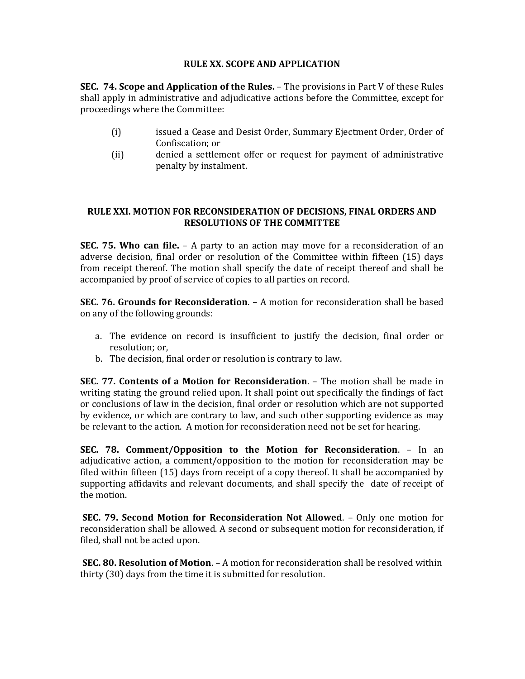# RULE XX. SCOPE AND APPLICATION

SEC. 74. Scope and Application of the Rules. – The provisions in Part V of these Rules shall apply in administrative and adjudicative actions before the Committee, except for proceedings where the Committee:

- (i) issued a Cease and Desist Order, Summary Ejectment Order, Order of Confiscation; or
- (ii) denied a settlement offer or request for payment of administrative penalty by instalment.

## RULE XXI. MOTION FOR RECONSIDERATION OF DECISIONS, FINAL ORDERS AND RESOLUTIONS OF THE COMMITTEE

**SEC. 75. Who can file.**  $- A$  party to an action may move for a reconsideration of an adverse decision, final order or resolution of the Committee within fifteen (15) days from receipt thereof. The motion shall specify the date of receipt thereof and shall be accompanied by proof of service of copies to all parties on record.

SEC. 76. Grounds for Reconsideration. – A motion for reconsideration shall be based on any of the following grounds:

- a. The evidence on record is insufficient to justify the decision, final order or resolution; or,
- b. The decision, final order or resolution is contrary to law.

SEC. 77. Contents of a Motion for Reconsideration. – The motion shall be made in writing stating the ground relied upon. It shall point out specifically the findings of fact or conclusions of law in the decision, final order or resolution which are not supported by evidence, or which are contrary to law, and such other supporting evidence as may be relevant to the action. A motion for reconsideration need not be set for hearing.

SEC. 78. Comment/Opposition to the Motion for Reconsideration. – In an adjudicative action, a comment/opposition to the motion for reconsideration may be filed within fifteen (15) days from receipt of a copy thereof. It shall be accompanied by supporting affidavits and relevant documents, and shall specify the date of receipt of the motion.

SEC. 79. Second Motion for Reconsideration Not Allowed. – Only one motion for reconsideration shall be allowed. A second or subsequent motion for reconsideration, if filed, shall not be acted upon.

SEC. 80. Resolution of Motion. – A motion for reconsideration shall be resolved within thirty (30) days from the time it is submitted for resolution.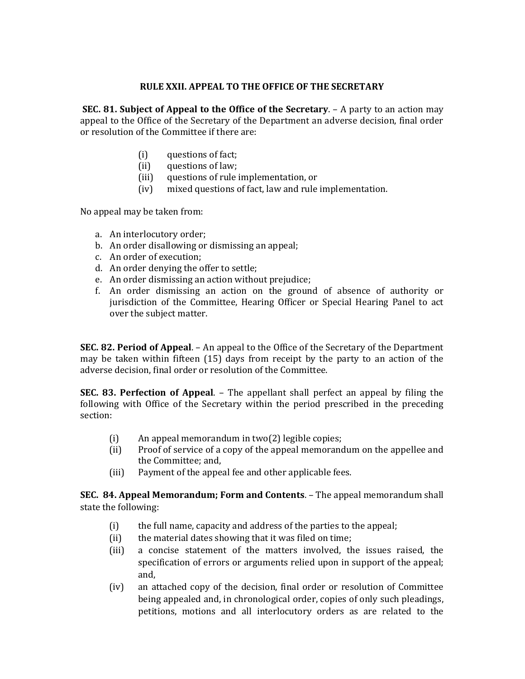# RULE XXII. APPEAL TO THE OFFICE OF THE SECRETARY

SEC. 81. Subject of Appeal to the Office of the Secretary. – A party to an action may appeal to the Office of the Secretary of the Department an adverse decision, final order or resolution of the Committee if there are:

- (i) questions of fact;
- (ii) questions of law;
- (iii) questions of rule implementation, or
- (iv) mixed questions of fact, law and rule implementation.

No appeal may be taken from:

- a. An interlocutory order;
- b. An order disallowing or dismissing an appeal;
- c. An order of execution;
- d. An order denying the offer to settle;
- e. An order dismissing an action without prejudice;
- f. An order dismissing an action on the ground of absence of authority or jurisdiction of the Committee, Hearing Officer or Special Hearing Panel to act over the subject matter.

SEC. 82. Period of Appeal. – An appeal to the Office of the Secretary of the Department may be taken within fifteen (15) days from receipt by the party to an action of the adverse decision, final order or resolution of the Committee.

SEC. 83. Perfection of Appeal. – The appellant shall perfect an appeal by filing the following with Office of the Secretary within the period prescribed in the preceding section:

- (i) An appeal memorandum in two(2) legible copies;
- (ii) Proof of service of a copy of the appeal memorandum on the appellee and the Committee; and,
- (iii) Payment of the appeal fee and other applicable fees.

SEC. 84. Appeal Memorandum; Form and Contents. – The appeal memorandum shall state the following:

- (i) the full name, capacity and address of the parties to the appeal;
- (ii) the material dates showing that it was filed on time;
- (iii) a concise statement of the matters involved, the issues raised, the specification of errors or arguments relied upon in support of the appeal; and,
- (iv) an attached copy of the decision, final order or resolution of Committee being appealed and, in chronological order, copies of only such pleadings, petitions, motions and all interlocutory orders as are related to the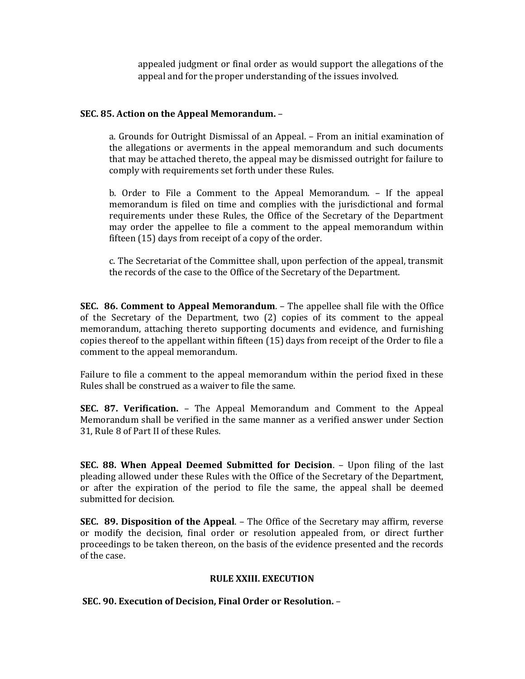appealed judgment or final order as would support the allegations of the appeal and for the proper understanding of the issues involved.

### SEC. 85. Action on the Appeal Memorandum. –

a. Grounds for Outright Dismissal of an Appeal. – From an initial examination of the allegations or averments in the appeal memorandum and such documents that may be attached thereto, the appeal may be dismissed outright for failure to comply with requirements set forth under these Rules.

b. Order to File a Comment to the Appeal Memorandum. – If the appeal memorandum is filed on time and complies with the jurisdictional and formal requirements under these Rules, the Office of the Secretary of the Department may order the appellee to file a comment to the appeal memorandum within fifteen (15) days from receipt of a copy of the order.

c. The Secretariat of the Committee shall, upon perfection of the appeal, transmit the records of the case to the Office of the Secretary of the Department.

SEC. 86. Comment to Appeal Memorandum. – The appellee shall file with the Office of the Secretary of the Department, two (2) copies of its comment to the appeal memorandum, attaching thereto supporting documents and evidence, and furnishing copies thereof to the appellant within fifteen (15) days from receipt of the Order to file a comment to the appeal memorandum.

Failure to file a comment to the appeal memorandum within the period fixed in these Rules shall be construed as a waiver to file the same.

SEC. 87. Verification. – The Appeal Memorandum and Comment to the Appeal Memorandum shall be verified in the same manner as a verified answer under Section 31, Rule 8 of Part II of these Rules.

SEC. 88. When Appeal Deemed Submitted for Decision. – Upon filing of the last pleading allowed under these Rules with the Office of the Secretary of the Department, or after the expiration of the period to file the same, the appeal shall be deemed submitted for decision.

SEC. 89. Disposition of the Appeal. – The Office of the Secretary may affirm, reverse or modify the decision, final order or resolution appealed from, or direct further proceedings to be taken thereon, on the basis of the evidence presented and the records of the case.

#### RULE XXIII. EXECUTION

SEC. 90. Execution of Decision, Final Order or Resolution. –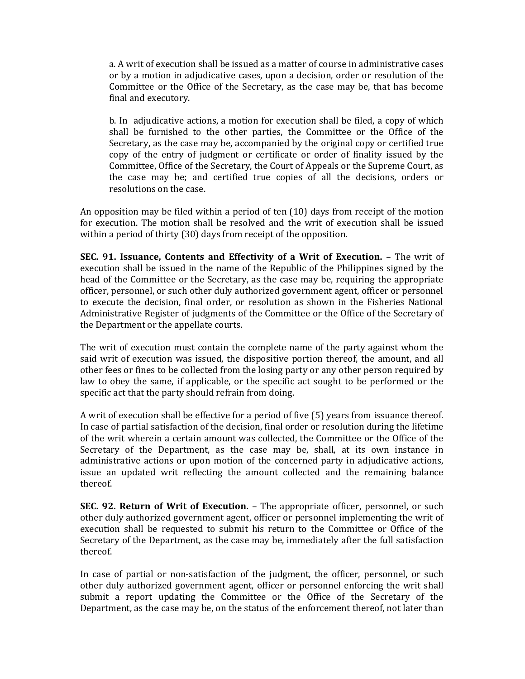a. A writ of execution shall be issued as a matter of course in administrative cases or by a motion in adjudicative cases, upon a decision, order or resolution of the Committee or the Office of the Secretary, as the case may be, that has become final and executory.

b. In adjudicative actions, a motion for execution shall be filed, a copy of which shall be furnished to the other parties, the Committee or the Office of the Secretary, as the case may be, accompanied by the original copy or certified true copy of the entry of judgment or certificate or order of finality issued by the Committee, Office of the Secretary, the Court of Appeals or the Supreme Court, as the case may be; and certified true copies of all the decisions, orders or resolutions on the case.

An opposition may be filed within a period of ten (10) days from receipt of the motion for execution. The motion shall be resolved and the writ of execution shall be issued within a period of thirty (30) days from receipt of the opposition.

SEC. 91. Issuance, Contents and Effectivity of a Writ of Execution. – The writ of execution shall be issued in the name of the Republic of the Philippines signed by the head of the Committee or the Secretary, as the case may be, requiring the appropriate officer, personnel, or such other duly authorized government agent, officer or personnel to execute the decision, final order, or resolution as shown in the Fisheries National Administrative Register of judgments of the Committee or the Office of the Secretary of the Department or the appellate courts.

The writ of execution must contain the complete name of the party against whom the said writ of execution was issued, the dispositive portion thereof, the amount, and all other fees or fines to be collected from the losing party or any other person required by law to obey the same, if applicable, or the specific act sought to be performed or the specific act that the party should refrain from doing.

A writ of execution shall be effective for a period of five (5) years from issuance thereof. In case of partial satisfaction of the decision, final order or resolution during the lifetime of the writ wherein a certain amount was collected, the Committee or the Office of the Secretary of the Department, as the case may be, shall, at its own instance in administrative actions or upon motion of the concerned party in adjudicative actions, issue an updated writ reflecting the amount collected and the remaining balance thereof.

SEC. 92. Return of Writ of Execution. – The appropriate officer, personnel, or such other duly authorized government agent, officer or personnel implementing the writ of execution shall be requested to submit his return to the Committee or Office of the Secretary of the Department, as the case may be, immediately after the full satisfaction thereof.

In case of partial or non-satisfaction of the judgment, the officer, personnel, or such other duly authorized government agent, officer or personnel enforcing the writ shall submit a report updating the Committee or the Office of the Secretary of the Department, as the case may be, on the status of the enforcement thereof, not later than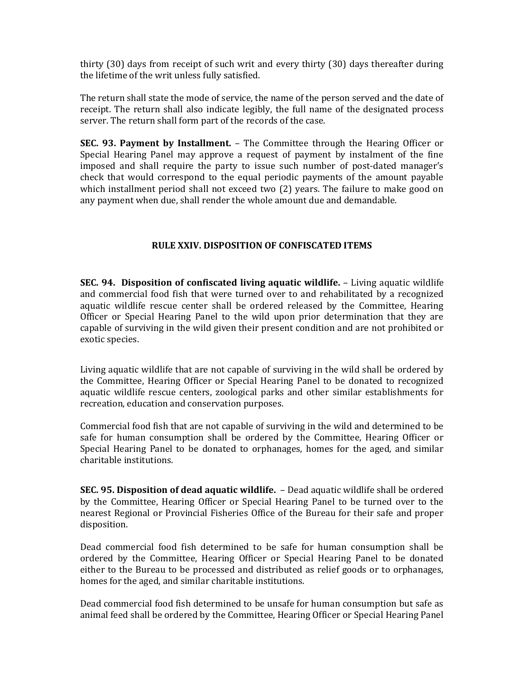thirty (30) days from receipt of such writ and every thirty (30) days thereafter during the lifetime of the writ unless fully satisfied.

The return shall state the mode of service, the name of the person served and the date of receipt. The return shall also indicate legibly, the full name of the designated process server. The return shall form part of the records of the case.

SEC. 93. Payment by Installment. – The Committee through the Hearing Officer or Special Hearing Panel may approve a request of payment by instalment of the fine imposed and shall require the party to issue such number of post-dated manager's check that would correspond to the equal periodic payments of the amount payable which installment period shall not exceed two (2) years. The failure to make good on any payment when due, shall render the whole amount due and demandable.

# RULE XXIV. DISPOSITION OF CONFISCATED ITEMS

SEC. 94. Disposition of confiscated living aquatic wildlife. – Living aquatic wildlife and commercial food fish that were turned over to and rehabilitated by a recognized aquatic wildlife rescue center shall be ordered released by the Committee, Hearing Officer or Special Hearing Panel to the wild upon prior determination that they are capable of surviving in the wild given their present condition and are not prohibited or exotic species.

Living aquatic wildlife that are not capable of surviving in the wild shall be ordered by the Committee, Hearing Officer or Special Hearing Panel to be donated to recognized aquatic wildlife rescue centers, zoological parks and other similar establishments for recreation, education and conservation purposes.

Commercial food fish that are not capable of surviving in the wild and determined to be safe for human consumption shall be ordered by the Committee, Hearing Officer or Special Hearing Panel to be donated to orphanages, homes for the aged, and similar charitable institutions.

SEC. 95. Disposition of dead aquatic wildlife. - Dead aquatic wildlife shall be ordered by the Committee, Hearing Officer or Special Hearing Panel to be turned over to the nearest Regional or Provincial Fisheries Office of the Bureau for their safe and proper disposition.

Dead commercial food fish determined to be safe for human consumption shall be ordered by the Committee, Hearing Officer or Special Hearing Panel to be donated either to the Bureau to be processed and distributed as relief goods or to orphanages, homes for the aged, and similar charitable institutions.

Dead commercial food fish determined to be unsafe for human consumption but safe as animal feed shall be ordered by the Committee, Hearing Officer or Special Hearing Panel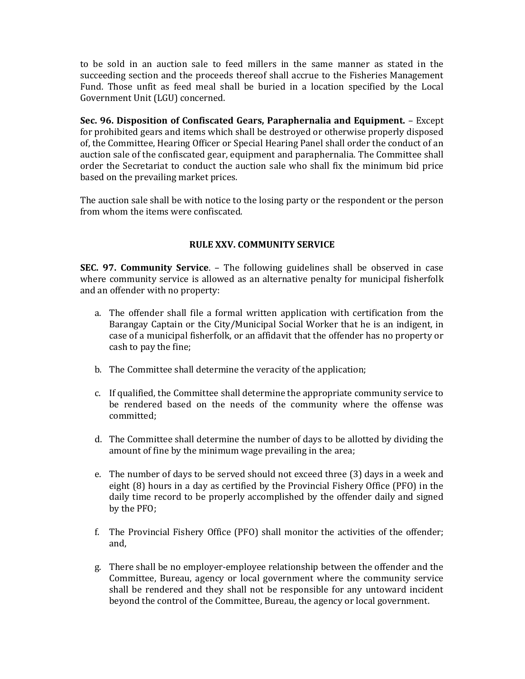to be sold in an auction sale to feed millers in the same manner as stated in the succeeding section and the proceeds thereof shall accrue to the Fisheries Management Fund. Those unfit as feed meal shall be buried in a location specified by the Local Government Unit (LGU) concerned.

Sec. 96. Disposition of Confiscated Gears, Paraphernalia and Equipment. – Except for prohibited gears and items which shall be destroyed or otherwise properly disposed of, the Committee, Hearing Officer or Special Hearing Panel shall order the conduct of an auction sale of the confiscated gear, equipment and paraphernalia. The Committee shall order the Secretariat to conduct the auction sale who shall fix the minimum bid price based on the prevailing market prices.

The auction sale shall be with notice to the losing party or the respondent or the person from whom the items were confiscated.

# RULE XXV. COMMUNITY SERVICE

SEC. 97. Community Service. – The following guidelines shall be observed in case where community service is allowed as an alternative penalty for municipal fisherfolk and an offender with no property:

- a. The offender shall file a formal written application with certification from the Barangay Captain or the City/Municipal Social Worker that he is an indigent, in case of a municipal fisherfolk, or an affidavit that the offender has no property or cash to pay the fine;
- b. The Committee shall determine the veracity of the application;
- c. If qualified, the Committee shall determine the appropriate community service to be rendered based on the needs of the community where the offense was committed;
- d. The Committee shall determine the number of days to be allotted by dividing the amount of fine by the minimum wage prevailing in the area;
- e. The number of days to be served should not exceed three (3) days in a week and eight (8) hours in a day as certified by the Provincial Fishery Office (PFO) in the daily time record to be properly accomplished by the offender daily and signed by the PFO;
- f. The Provincial Fishery Office (PFO) shall monitor the activities of the offender; and,
- g. There shall be no employer-employee relationship between the offender and the Committee, Bureau, agency or local government where the community service shall be rendered and they shall not be responsible for any untoward incident beyond the control of the Committee, Bureau, the agency or local government.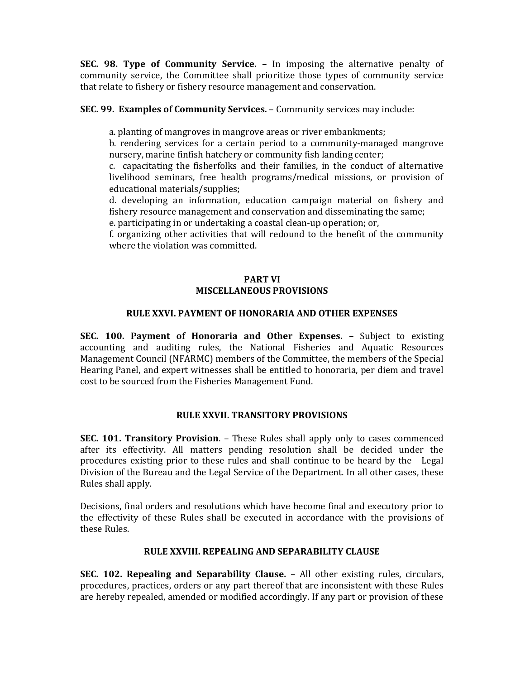SEC. 98. Type of Community Service. – In imposing the alternative penalty of community service, the Committee shall prioritize those types of community service that relate to fishery or fishery resource management and conservation.

### SEC. 99. Examples of Community Services. – Community services may include:

a. planting of mangroves in mangrove areas or river embankments;

b. rendering services for a certain period to a community-managed mangrove nursery, marine finfish hatchery or community fish landing center;

c. capacitating the fisherfolks and their families, in the conduct of alternative livelihood seminars, free health programs/medical missions, or provision of educational materials/supplies;

d. developing an information, education campaign material on fishery and fishery resource management and conservation and disseminating the same; e. participating in or undertaking a coastal clean-up operation; or,

f. organizing other activities that will redound to the benefit of the community where the violation was committed.

#### PART VI MISCELLANEOUS PROVISIONS

### RULE XXVI. PAYMENT OF HONORARIA AND OTHER EXPENSES

SEC. 100. Payment of Honoraria and Other Expenses. – Subject to existing accounting and auditing rules, the National Fisheries and Aquatic Resources Management Council (NFARMC) members of the Committee, the members of the Special Hearing Panel, and expert witnesses shall be entitled to honoraria, per diem and travel cost to be sourced from the Fisheries Management Fund.

# RULE XXVII. TRANSITORY PROVISIONS

SEC. 101. Transitory Provision. – These Rules shall apply only to cases commenced after its effectivity. All matters pending resolution shall be decided under the procedures existing prior to these rules and shall continue to be heard by the Legal Division of the Bureau and the Legal Service of the Department. In all other cases, these Rules shall apply.

Decisions, final orders and resolutions which have become final and executory prior to the effectivity of these Rules shall be executed in accordance with the provisions of these Rules.

#### RULE XXVIII. REPEALING AND SEPARABILITY CLAUSE

SEC. 102. Repealing and Separability Clause. – All other existing rules, circulars, procedures, practices, orders or any part thereof that are inconsistent with these Rules are hereby repealed, amended or modified accordingly. If any part or provision of these